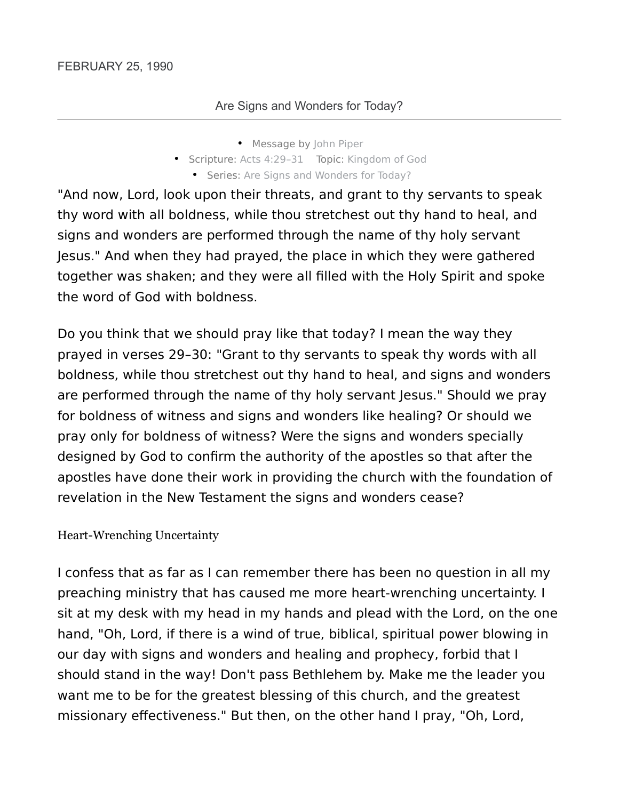- Message by John Piper
- Scripture: Acts 4:29–31 Topic: Kingdom of God
	- Series: Are Signs and Wonders for Today?

"And now, Lord, look upon their threats, and grant to thy servants to speak thy word with all boldness, while thou stretchest out thy hand to heal, and signs and wonders are performed through the name of thy holy servant Jesus." And when they had prayed, the place in which they were gathered together was shaken; and they were all filled with the Holy Spirit and spoke the word of God with boldness.

Do you think that we should pray like that today? I mean the way they prayed in verses 29–30: "Grant to thy servants to speak thy words with all boldness, while thou stretchest out thy hand to heal, and signs and wonders are performed through the name of thy holy servant Jesus." Should we pray for boldness of witness and signs and wonders like healing? Or should we pray only for boldness of witness? Were the signs and wonders specially designed by God to confirm the authority of the apostles so that after the apostles have done their work in providing the church with the foundation of revelation in the New Testament the signs and wonders cease?

#### Heart-Wrenching Uncertainty

I confess that as far as I can remember there has been no question in all my preaching ministry that has caused me more heart-wrenching uncertainty. I sit at my desk with my head in my hands and plead with the Lord, on the one hand, "Oh, Lord, if there is a wind of true, biblical, spiritual power blowing in our day with signs and wonders and healing and prophecy, forbid that I should stand in the way! Don't pass Bethlehem by. Make me the leader you want me to be for the greatest blessing of this church, and the greatest missionary effectiveness." But then, on the other hand I pray, "Oh, Lord,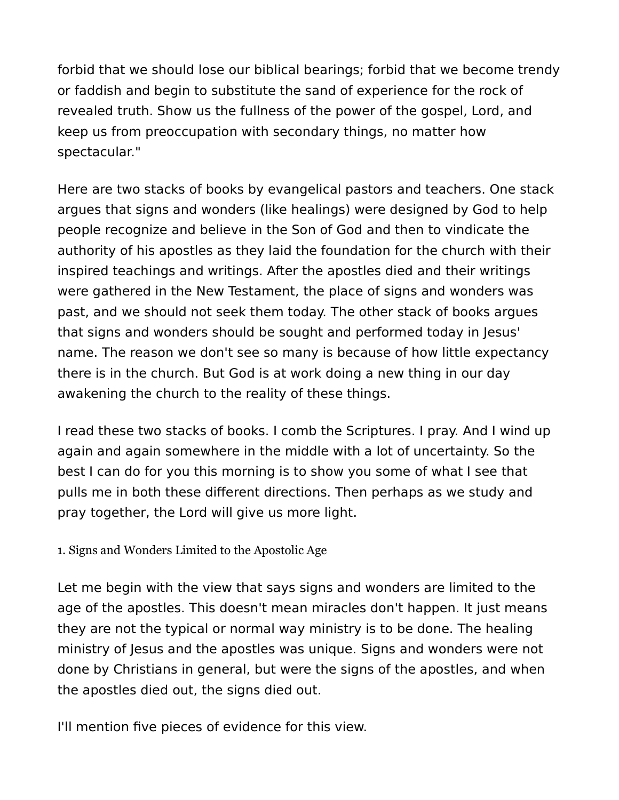forbid that we should lose our biblical bearings; forbid that we become trendy or faddish and begin to substitute the sand of experience for the rock of revealed truth. Show us the fullness of the power of the gospel, Lord, and keep us from preoccupation with secondary things, no matter how spectacular."

Here are two stacks of books by evangelical pastors and teachers. One stack argues that signs and wonders (like healings) were designed by God to help people recognize and believe in the Son of God and then to vindicate the authority of his apostles as they laid the foundation for the church with their inspired teachings and writings. After the apostles died and their writings were gathered in the New Testament, the place of signs and wonders was past, and we should not seek them today. The other stack of books argues that signs and wonders should be sought and performed today in Jesus' name. The reason we don't see so many is because of how little expectancy there is in the church. But God is at work doing a new thing in our day awakening the church to the reality of these things.

I read these two stacks of books. I comb the Scriptures. I pray. And I wind up again and again somewhere in the middle with a lot of uncertainty. So the best I can do for you this morning is to show you some of what I see that pulls me in both these different directions. Then perhaps as we study and pray together, the Lord will give us more light.

1. Signs and Wonders Limited to the Apostolic Age

Let me begin with the view that says signs and wonders are limited to the age of the apostles. This doesn't mean miracles don't happen. It just means they are not the typical or normal way ministry is to be done. The healing ministry of Jesus and the apostles was unique. Signs and wonders were not done by Christians in general, but were the signs of the apostles, and when the apostles died out, the signs died out.

I'll mention five pieces of evidence for this view.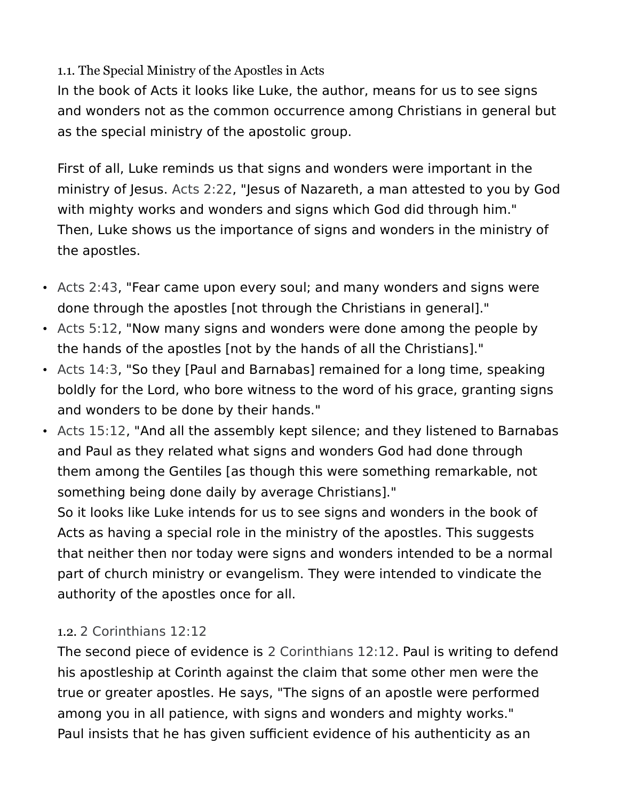### 1.1. The Special Ministry of the Apostles in Acts

In the book of Acts it looks like Luke, the author, means for us to see signs and wonders not as the common occurrence among Christians in general but as the special ministry of the apostolic group.

First of all, Luke reminds us that signs and wonders were important in the ministry of Jesus. Acts 2:22, "Jesus of Nazareth, a man attested to you by God with mighty works and wonders and signs which God did through him." Then, Luke shows us the importance of signs and wonders in the ministry of the apostles.

- Acts 2:43, "Fear came upon every soul; and many wonders and signs were done through the apostles [not through the Christians in general]."
- Acts 5:12, "Now many signs and wonders were done among the people by the hands of the apostles [not by the hands of all the Christians]."
- Acts 14:3, "So they [Paul and Barnabas] remained for a long time, speaking boldly for the Lord, who bore witness to the word of his grace, granting signs and wonders to be done by their hands."
- Acts 15:12, "And all the assembly kept silence; and they listened to Barnabas and Paul as they related what signs and wonders God had done through them among the Gentiles [as though this were something remarkable, not something being done daily by average Christians]."

So it looks like Luke intends for us to see signs and wonders in the book of Acts as having a special role in the ministry of the apostles. This suggests that neither then nor today were signs and wonders intended to be a normal part of church ministry or evangelism. They were intended to vindicate the authority of the apostles once for all.

# 1.2. 2 Corinthians 12:12

The second piece of evidence is 2 Corinthians 12:12. Paul is writing to defend his apostleship at Corinth against the claim that some other men were the true or greater apostles. He says, "The signs of an apostle were performed among you in all patience, with signs and wonders and mighty works." Paul insists that he has given sufficient evidence of his authenticity as an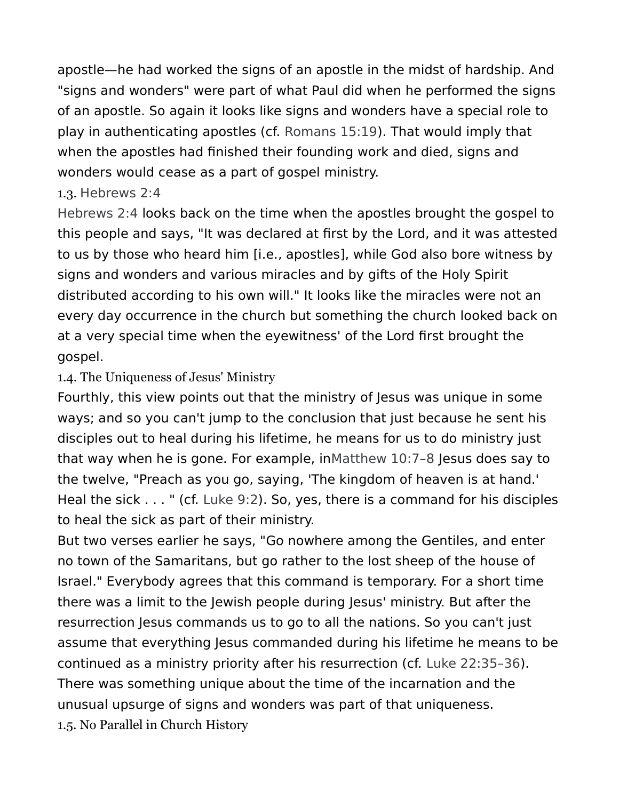apostle—he had worked the signs of an apostle in the midst of hardship. And "signs and wonders" were part of what Paul did when he performed the signs of an apostle. So again it looks like signs and wonders have a special role to play in authenticating apostles (cf. Romans 15:19). That would imply that when the apostles had finished their founding work and died, signs and wonders would cease as a part of gospel ministry.

### 1.3. Hebrews 2:4

Hebrews 2:4 looks back on the time when the apostles brought the gospel to this people and says, "It was declared at first by the Lord, and it was attested to us by those who heard him [i.e., apostles], while God also bore witness by signs and wonders and various miracles and by gifts of the Holy Spirit distributed according to his own will." It looks like the miracles were not an every day occurrence in the church but something the church looked back on at a very special time when the eyewitness' of the Lord first brought the gospel.

# 1.4. The Uniqueness of Jesus' Ministry

Fourthly, this view points out that the ministry of Jesus was unique in some ways; and so you can't jump to the conclusion that just because he sent his disciples out to heal during his lifetime, he means for us to do ministry just that way when he is gone. For example, inMatthew 10:7–8 Jesus does say to the twelve, "Preach as you go, saying, 'The kingdom of heaven is at hand.' Heal the sick . . . " (cf. Luke 9:2). So, yes, there is a command for his disciples to heal the sick as part of their ministry.

But two verses earlier he says, "Go nowhere among the Gentiles, and enter no town of the Samaritans, but go rather to the lost sheep of the house of Israel." Everybody agrees that this command is temporary. For a short time there was a limit to the Jewish people during Jesus' ministry. But after the resurrection Jesus commands us to go to all the nations. So you can't just assume that everything Jesus commanded during his lifetime he means to be continued as a ministry priority after his resurrection (cf. Luke 22:35–36). There was something unique about the time of the incarnation and the unusual upsurge of signs and wonders was part of that uniqueness. 1.5. No Parallel in Church History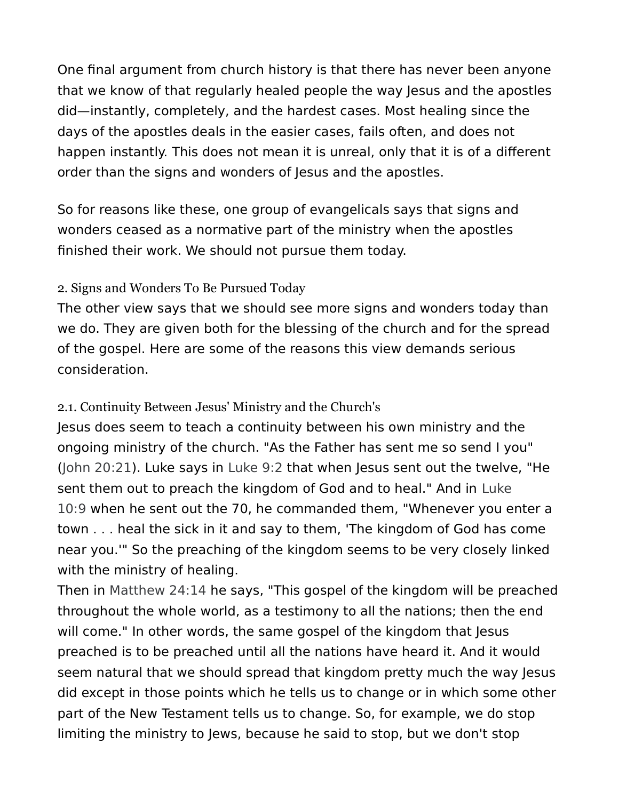One final argument from church history is that there has never been anyone that we know of that regularly healed people the way Jesus and the apostles did—instantly, completely, and the hardest cases. Most healing since the days of the apostles deals in the easier cases, fails often, and does not happen instantly. This does not mean it is unreal, only that it is of a different order than the signs and wonders of Jesus and the apostles.

So for reasons like these, one group of evangelicals says that signs and wonders ceased as a normative part of the ministry when the apostles finished their work. We should not pursue them today.

# 2. Signs and Wonders To Be Pursued Today

The other view says that we should see more signs and wonders today than we do. They are given both for the blessing of the church and for the spread of the gospel. Here are some of the reasons this view demands serious consideration.

### 2.1. Continuity Between Jesus' Ministry and the Church's

Jesus does seem to teach a continuity between his own ministry and the ongoing ministry of the church. "As the Father has sent me so send I you" (John 20:21). Luke says in Luke 9:2 that when Jesus sent out the twelve, "He sent them out to preach the kingdom of God and to heal." And in Luke 10:9 when he sent out the 70, he commanded them, "Whenever you enter a town . . . heal the sick in it and say to them, 'The kingdom of God has come near you.'" So the preaching of the kingdom seems to be very closely linked with the ministry of healing.

Then in Matthew 24:14 he says, "This gospel of the kingdom will be preached throughout the whole world, as a testimony to all the nations; then the end will come." In other words, the same gospel of the kingdom that Jesus preached is to be preached until all the nations have heard it. And it would seem natural that we should spread that kingdom pretty much the way Jesus did except in those points which he tells us to change or in which some other part of the New Testament tells us to change. So, for example, we do stop limiting the ministry to Jews, because he said to stop, but we don't stop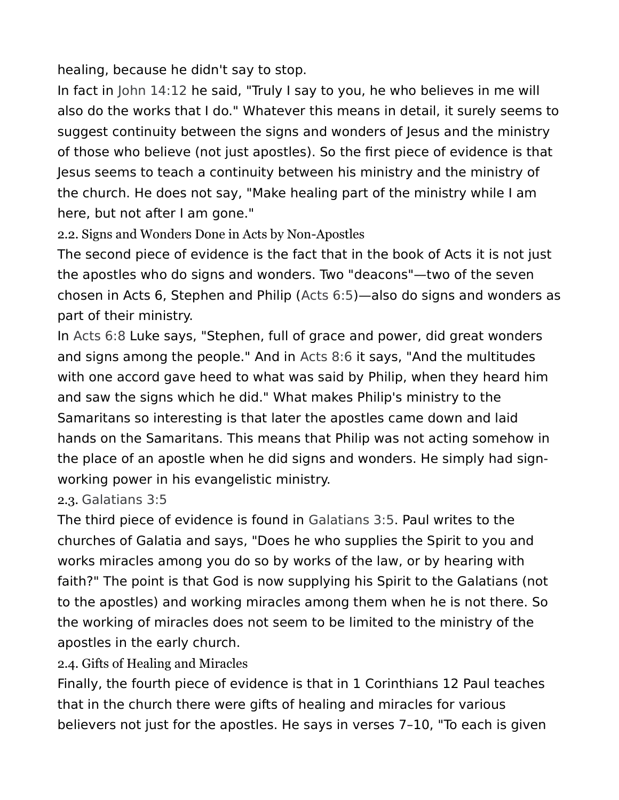healing, because he didn't say to stop.

In fact in John 14:12 he said, "Truly I say to you, he who believes in me will also do the works that I do." Whatever this means in detail, it surely seems to suggest continuity between the signs and wonders of Jesus and the ministry of those who believe (not just apostles). So the first piece of evidence is that Jesus seems to teach a continuity between his ministry and the ministry of the church. He does not say, "Make healing part of the ministry while I am here, but not after I am gone."

2.2. Signs and Wonders Done in Acts by Non-Apostles

The second piece of evidence is the fact that in the book of Acts it is not just the apostles who do signs and wonders. Two "deacons"—two of the seven chosen in Acts 6, Stephen and Philip (Acts 6:5)—also do signs and wonders as part of their ministry.

In Acts 6:8 Luke says, "Stephen, full of grace and power, did great wonders and signs among the people." And in Acts 8:6 it says, "And the multitudes with one accord gave heed to what was said by Philip, when they heard him and saw the signs which he did." What makes Philip's ministry to the Samaritans so interesting is that later the apostles came down and laid hands on the Samaritans. This means that Philip was not acting somehow in the place of an apostle when he did signs and wonders. He simply had signworking power in his evangelistic ministry.

2.3. Galatians 3:5

The third piece of evidence is found in Galatians 3:5. Paul writes to the churches of Galatia and says, "Does he who supplies the Spirit to you and works miracles among you do so by works of the law, or by hearing with faith?" The point is that God is now supplying his Spirit to the Galatians (not to the apostles) and working miracles among them when he is not there. So the working of miracles does not seem to be limited to the ministry of the apostles in the early church.

2.4. Gifts of Healing and Miracles

Finally, the fourth piece of evidence is that in 1 Corinthians 12 Paul teaches that in the church there were gifts of healing and miracles for various believers not just for the apostles. He says in verses 7–10, "To each is given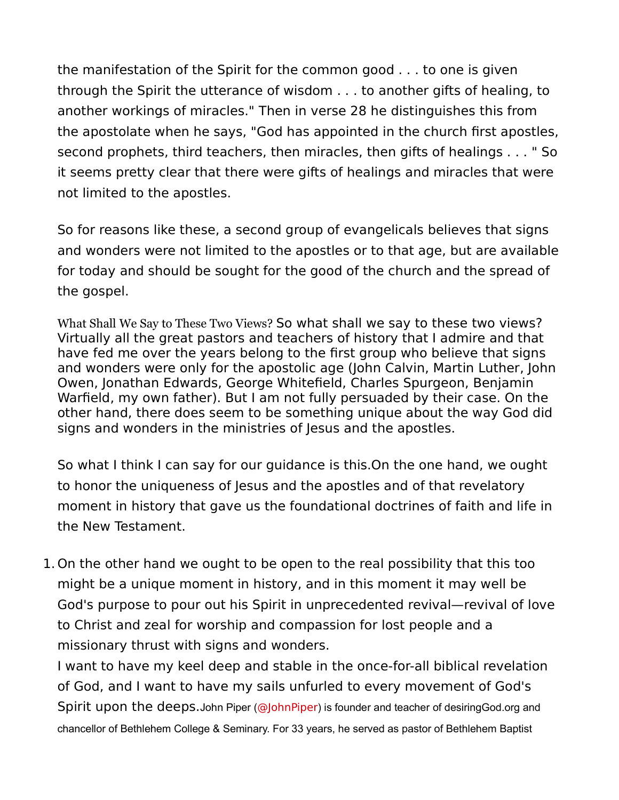the manifestation of the Spirit for the common good . . . to one is given through the Spirit the utterance of wisdom . . . to another gifts of healing, to another workings of miracles." Then in verse 28 he distinguishes this from the apostolate when he says, "God has appointed in the church first apostles, second prophets, third teachers, then miracles, then gifts of healings . . . " So it seems pretty clear that there were gifts of healings and miracles that were not limited to the apostles.

So for reasons like these, a second group of evangelicals believes that signs and wonders were not limited to the apostles or to that age, but are available for today and should be sought for the good of the church and the spread of the gospel.

What Shall We Say to These Two Views? So what shall we say to these two views? Virtually all the great pastors and teachers of history that I admire and that have fed me over the years belong to the first group who believe that signs and wonders were only for the apostolic age (John Calvin, Martin Luther, John Owen, Jonathan Edwards, George Whitefield, Charles Spurgeon, Benjamin Warfield, my own father). But I am not fully persuaded by their case. On the other hand, there does seem to be something unique about the way God did signs and wonders in the ministries of Jesus and the apostles.

So what I think I can say for our guidance is this.On the one hand, we ought to honor the uniqueness of Jesus and the apostles and of that revelatory moment in history that gave us the foundational doctrines of faith and life in the New Testament.

1. On the other hand we ought to be open to the real possibility that this too might be a unique moment in history, and in this moment it may well be God's purpose to pour out his Spirit in unprecedented revival—revival of love to Christ and zeal for worship and compassion for lost people and a missionary thrust with signs and wonders.

I want to have my keel deep and stable in the once-for-all biblical revelation of God, and I want to have my sails unfurled to every movement of God's Spirit upon the deeps. John Piper (@JohnPiper) is founder and teacher of desiringGod.org and chancellor of Bethlehem College & Seminary. For 33 years, he served as pastor of Bethlehem Baptist